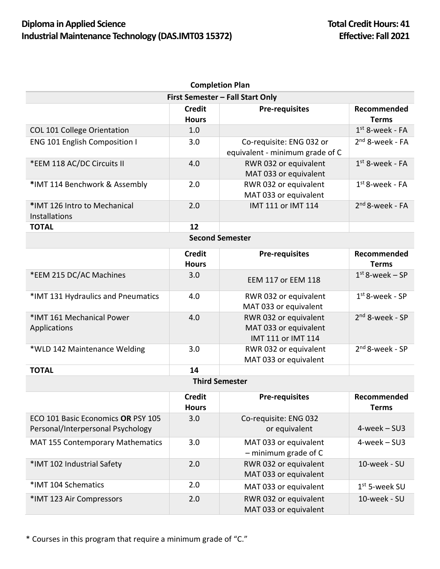## **Diploma in Applied Science Total Credit Hours: 41 Total Credit Hours: 41** Industrial Maintenance Technology (DAS.IMT03 15372) **Effective: Fall 2021**

| <b>Completion Plan</b>                                                  |                               |                                                                      |                             |  |  |
|-------------------------------------------------------------------------|-------------------------------|----------------------------------------------------------------------|-----------------------------|--|--|
| First Semester - Fall Start Only                                        |                               |                                                                      |                             |  |  |
|                                                                         | <b>Credit</b><br><b>Hours</b> | <b>Pre-requisites</b>                                                | Recommended<br><b>Terms</b> |  |  |
| <b>COL 101 College Orientation</b>                                      | 1.0                           |                                                                      | $1st$ 8-week - FA           |  |  |
| <b>ENG 101 English Composition I</b>                                    | 3.0                           | Co-requisite: ENG 032 or<br>equivalent - minimum grade of C          | $2nd$ 8-week - FA           |  |  |
| *EEM 118 AC/DC Circuits II                                              | 4.0                           | RWR 032 or equivalent<br>MAT 033 or equivalent                       | $1st$ 8-week - FA           |  |  |
| *IMT 114 Benchwork & Assembly                                           | 2.0                           | RWR 032 or equivalent<br>MAT 033 or equivalent                       | $1st$ 8-week - FA           |  |  |
| *IMT 126 Intro to Mechanical<br><b>Installations</b>                    | 2.0                           | IMT 111 or IMT 114                                                   | $2nd$ 8-week - FA           |  |  |
| <b>TOTAL</b>                                                            | 12                            |                                                                      |                             |  |  |
|                                                                         |                               | <b>Second Semester</b>                                               |                             |  |  |
|                                                                         | <b>Credit</b><br><b>Hours</b> | <b>Pre-requisites</b>                                                | Recommended<br><b>Terms</b> |  |  |
| *EEM 215 DC/AC Machines                                                 | 3.0                           | <b>EEM 117 or EEM 118</b>                                            | $1st$ 8-week – SP           |  |  |
| *IMT 131 Hydraulics and Pneumatics                                      | 4.0                           | RWR 032 or equivalent<br>MAT 033 or equivalent                       | $1st$ 8-week - SP           |  |  |
| *IMT 161 Mechanical Power<br>Applications                               | 4.0                           | RWR 032 or equivalent<br>MAT 033 or equivalent<br>IMT 111 or IMT 114 | $2nd$ 8-week - SP           |  |  |
| *WLD 142 Maintenance Welding                                            | 3.0                           | RWR 032 or equivalent<br>MAT 033 or equivalent                       | $2nd 8$ -week - SP          |  |  |
| <b>TOTAL</b>                                                            | 14                            |                                                                      |                             |  |  |
| <b>Third Semester</b>                                                   |                               |                                                                      |                             |  |  |
|                                                                         | <b>Credit</b><br><b>Hours</b> | <b>Pre-requisites</b>                                                | Recommended<br><b>Terms</b> |  |  |
| ECO 101 Basic Economics OR PSY 105<br>Personal/Interpersonal Psychology | 3.0                           | Co-requisite: ENG 032<br>or equivalent                               | $4$ -week $-$ SU3           |  |  |
| <b>MAT 155 Contemporary Mathematics</b>                                 | 3.0                           | MAT 033 or equivalent<br>$-$ minimum grade of C                      | 4-week - SU3                |  |  |
| *IMT 102 Industrial Safety                                              | 2.0                           | RWR 032 or equivalent<br>MAT 033 or equivalent                       | 10-week - SU                |  |  |
| *IMT 104 Schematics                                                     | 2.0                           | MAT 033 or equivalent                                                | $1st$ 5-week SU             |  |  |
| *IMT 123 Air Compressors                                                | 2.0                           | RWR 032 or equivalent<br>MAT 033 or equivalent                       | 10-week - SU                |  |  |

\* Courses in this program that require a minimum grade of "C."